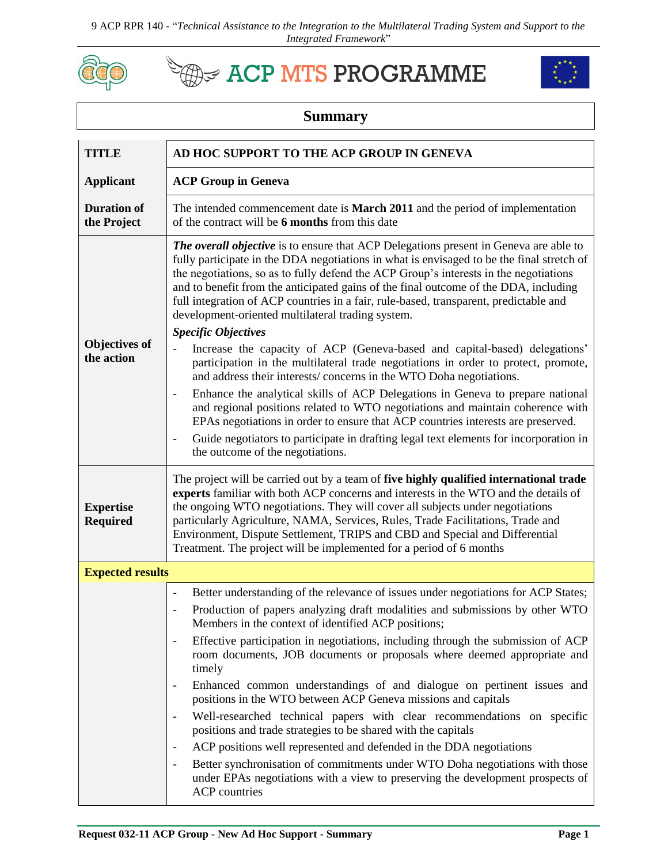9 ACP RPR 140 - "*Technical Assistance to the Integration to the Multilateral Trading System and Support to the Integrated Framework*"



## **Example ACP MTS PROGRAMME**



## **Summary**

| <b>TITLE</b>                        | AD HOC SUPPORT TO THE ACP GROUP IN GENEVA                                                                                                                                                                                                                                                                                                                                                                                                                                                                                |
|-------------------------------------|--------------------------------------------------------------------------------------------------------------------------------------------------------------------------------------------------------------------------------------------------------------------------------------------------------------------------------------------------------------------------------------------------------------------------------------------------------------------------------------------------------------------------|
| <b>Applicant</b>                    | <b>ACP Group in Geneva</b>                                                                                                                                                                                                                                                                                                                                                                                                                                                                                               |
| <b>Duration of</b><br>the Project   | The intended commencement date is <b>March 2011</b> and the period of implementation<br>of the contract will be 6 months from this date                                                                                                                                                                                                                                                                                                                                                                                  |
| <b>Objectives of</b><br>the action  | <b>The overall objective</b> is to ensure that ACP Delegations present in Geneva are able to<br>fully participate in the DDA negotiations in what is envisaged to be the final stretch of<br>the negotiations, so as to fully defend the ACP Group's interests in the negotiations<br>and to benefit from the anticipated gains of the final outcome of the DDA, including<br>full integration of ACP countries in a fair, rule-based, transparent, predictable and<br>development-oriented multilateral trading system. |
|                                     | <b>Specific Objectives</b>                                                                                                                                                                                                                                                                                                                                                                                                                                                                                               |
|                                     | Increase the capacity of ACP (Geneva-based and capital-based) delegations'<br>$\overline{\phantom{0}}$<br>participation in the multilateral trade negotiations in order to protect, promote,<br>and address their interests/concerns in the WTO Doha negotiations.                                                                                                                                                                                                                                                       |
|                                     | Enhance the analytical skills of ACP Delegations in Geneva to prepare national<br>$\overline{\phantom{a}}$<br>and regional positions related to WTO negotiations and maintain coherence with<br>EPAs negotiations in order to ensure that ACP countries interests are preserved.                                                                                                                                                                                                                                         |
|                                     | Guide negotiators to participate in drafting legal text elements for incorporation in<br>the outcome of the negotiations.                                                                                                                                                                                                                                                                                                                                                                                                |
| <b>Expertise</b><br><b>Required</b> | The project will be carried out by a team of five highly qualified international trade<br>experts familiar with both ACP concerns and interests in the WTO and the details of<br>the ongoing WTO negotiations. They will cover all subjects under negotiations<br>particularly Agriculture, NAMA, Services, Rules, Trade Facilitations, Trade and<br>Environment, Dispute Settlement, TRIPS and CBD and Special and Differential<br>Treatment. The project will be implemented for a period of 6 months                  |
| <b>Expected results</b>             |                                                                                                                                                                                                                                                                                                                                                                                                                                                                                                                          |
|                                     | Better understanding of the relevance of issues under negotiations for ACP States;<br>$\overline{\phantom{a}}$                                                                                                                                                                                                                                                                                                                                                                                                           |
|                                     | Production of papers analyzing draft modalities and submissions by other WTO<br>Members in the context of identified ACP positions;                                                                                                                                                                                                                                                                                                                                                                                      |
|                                     | Effective participation in negotiations, including through the submission of ACP<br>room documents, JOB documents or proposals where deemed appropriate and<br>timely                                                                                                                                                                                                                                                                                                                                                    |
|                                     | Enhanced common understandings of and dialogue on pertinent issues and<br>positions in the WTO between ACP Geneva missions and capitals                                                                                                                                                                                                                                                                                                                                                                                  |
|                                     | Well-researched technical papers with clear recommendations on specific<br>$\overline{\phantom{a}}$<br>positions and trade strategies to be shared with the capitals                                                                                                                                                                                                                                                                                                                                                     |
|                                     | ACP positions well represented and defended in the DDA negotiations<br>$\overline{\phantom{a}}$                                                                                                                                                                                                                                                                                                                                                                                                                          |
|                                     | Better synchronisation of commitments under WTO Doha negotiations with those<br>under EPAs negotiations with a view to preserving the development prospects of<br><b>ACP</b> countries                                                                                                                                                                                                                                                                                                                                   |